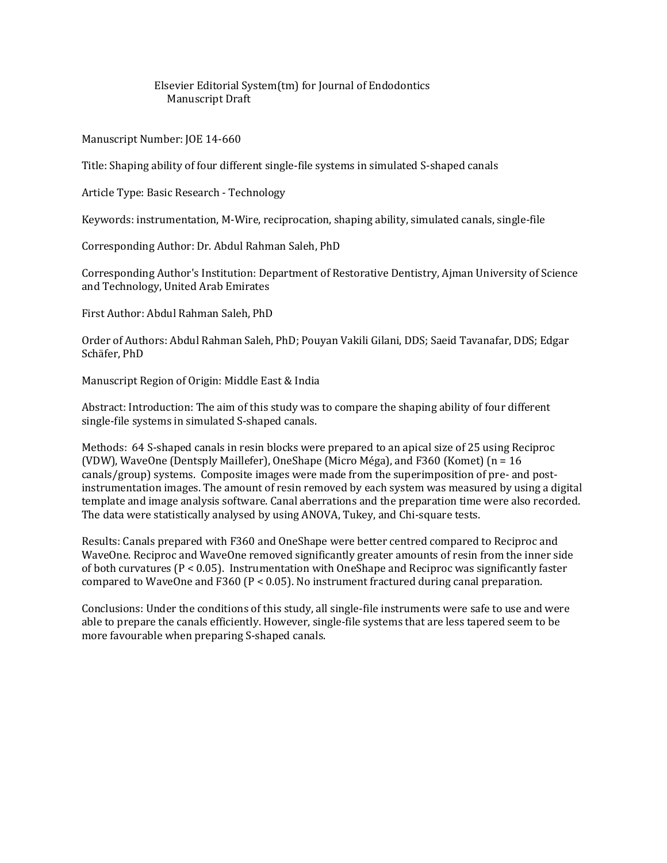Elsevier Editorial System(tm) for Journal of Endodontics Manuscript Draft

Manuscript Number: JOE 14-660

Title: Shaping ability of four different single-file systems in simulated S-shaped canals

Article Type: Basic Research - Technology

Keywords: instrumentation, M-Wire, reciprocation, shaping ability, simulated canals, single-file

Corresponding Author: Dr. Abdul Rahman Saleh, PhD

Corresponding Author's Institution: Department of Restorative Dentistry, Ajman University of Science and Technology, United Arab Emirates

First Author: Abdul Rahman Saleh, PhD

Order of Authors: Abdul Rahman Saleh, PhD; Pouyan Vakili Gilani, DDS; Saeid Tavanafar, DDS; Edgar Schäfer, PhD

Manuscript Region of Origin: Middle East & India

Abstract: Introduction: The aim of this study was to compare the shaping ability of four different single-file systems in simulated S-shaped canals.

Methods: 64 S-shaped canals in resin blocks were prepared to an apical size of 25 using Reciproc (VDW), WaveOne (Dentsply Maillefer), OneShape (Micro Méga), and F360 (Komet) (n = 16 canals/group) systems. Composite images were made from the superimposition of pre- and postinstrumentation images. The amount of resin removed by each system was measured by using a digital template and image analysis software. Canal aberrations and the preparation time were also recorded. The data were statistically analysed by using ANOVA, Tukey, and Chi-square tests.

Results: Canals prepared with F360 and OneShape were better centred compared to Reciproc and WaveOne. Reciproc and WaveOne removed significantly greater amounts of resin from the inner side of both curvatures (P < 0.05). Instrumentation with OneShape and Reciproc was significantly faster compared to WaveOne and F360 ( $P < 0.05$ ). No instrument fractured during canal preparation.

Conclusions: Under the conditions of this study, all single-file instruments were safe to use and were able to prepare the canals efficiently. However, single-file systems that are less tapered seem to be more favourable when preparing S-shaped canals.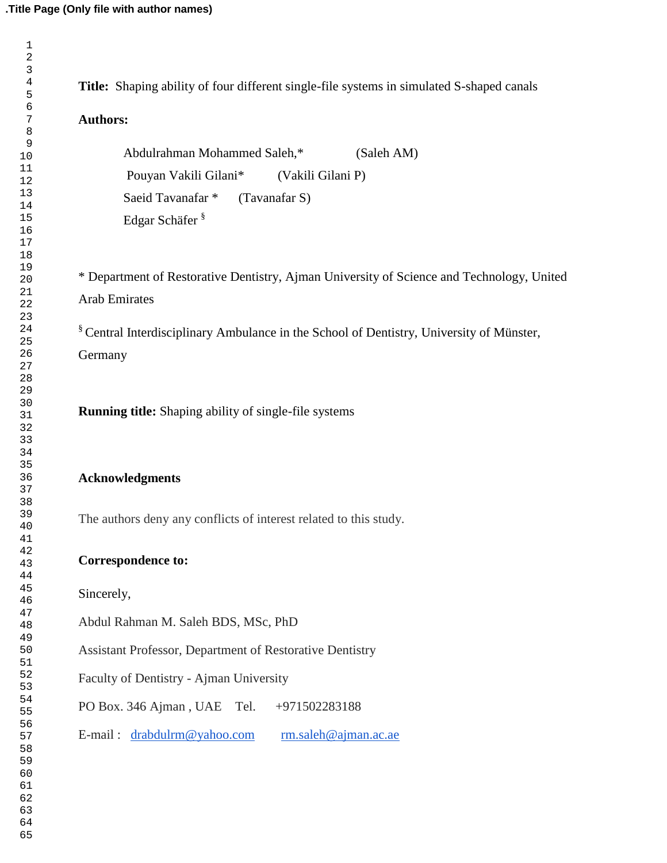| <b>Authors:</b>                                                                                     |
|-----------------------------------------------------------------------------------------------------|
|                                                                                                     |
| Abdulrahman Mohammed Saleh,*<br>(Saleh AM)                                                          |
| Pouyan Vakili Gilani*<br>(Vakili Gilani P)                                                          |
| Saeid Tavanafar <sup>*</sup><br>(Tavanafar S)                                                       |
| Edgar Schäfer <sup>§</sup>                                                                          |
|                                                                                                     |
| * Department of Restorative Dentistry, Ajman University of Science and Technology, United           |
| <b>Arab Emirates</b>                                                                                |
| <sup>§</sup> Central Interdisciplinary Ambulance in the School of Dentistry, University of Münster, |
| Germany                                                                                             |
|                                                                                                     |
| <b>Running title:</b> Shaping ability of single-file systems                                        |
|                                                                                                     |
| <b>Acknowledgments</b>                                                                              |
| The authors deny any conflicts of interest related to this study.                                   |
| <b>Correspondence to:</b>                                                                           |
| Sincerely,                                                                                          |
| Abdul Rahman M. Saleh BDS, MSc, PhD                                                                 |
| Assistant Professor, Department of Restorative Dentistry                                            |
| Faculty of Dentistry - Ajman University                                                             |
| PO Box. 346 Ajman, UAE Tel.<br>+971502283188                                                        |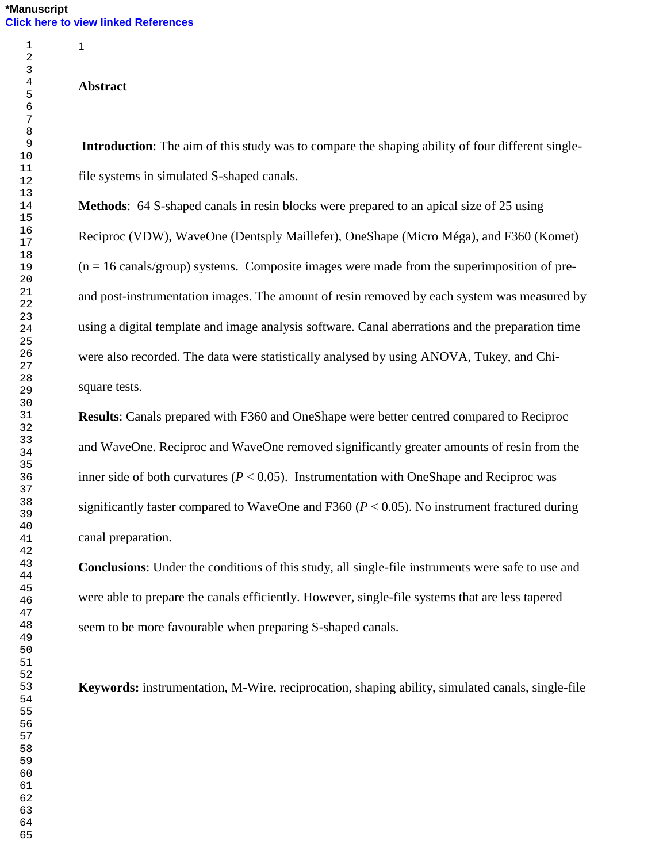## **Abstract**

**Introduction**: The aim of this study was to compare the shaping ability of four different singlefile systems in simulated S-shaped canals.

**Methods**: 64 S-shaped canals in resin blocks were prepared to an apical size of 25 using Reciproc (VDW), WaveOne (Dentsply Maillefer), OneShape (Micro Méga), and F360 (Komet)  $(n = 16 \text{ canals/group})$  systems. Composite images were made from the superimposition of preand post-instrumentation images. The amount of resin removed by each system was measured by using a digital template and image analysis software. Canal aberrations and the preparation time were also recorded. The data were statistically analysed by using ANOVA, Tukey, and Chisquare tests.

**Results**: Canals prepared with F360 and OneShape were better centred compared to Reciproc and WaveOne. Reciproc and WaveOne removed significantly greater amounts of resin from the inner side of both curvatures ( $P < 0.05$ ). Instrumentation with OneShape and Reciproc was significantly faster compared to WaveOne and F360 (*P* < 0.05). No instrument fractured during canal preparation.

**Conclusions**: Under the conditions of this study, all single-file instruments were safe to use and were able to prepare the canals efficiently. However, single-file systems that are less tapered seem to be more favourable when preparing S-shaped canals.

**Keywords:** instrumentation, M-Wire, reciprocation, shaping ability, simulated canals, single-file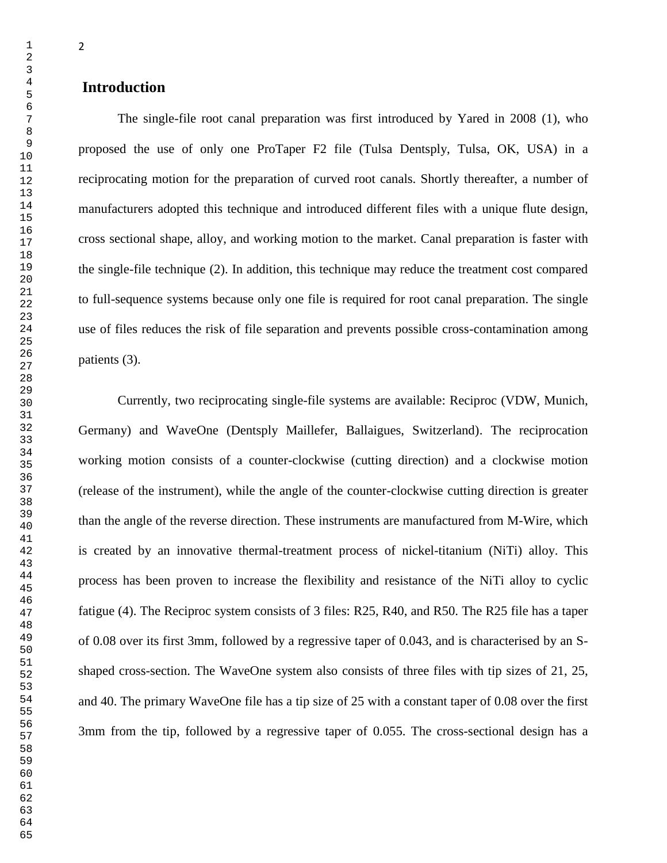The single-file root canal preparation was first introduced by Yared in 2008 [\(1\)](#page-14-0), who proposed the use of only one ProTaper F2 file (Tulsa Dentsply, Tulsa, OK, USA) in a reciprocating motion for the preparation of curved root canals. Shortly thereafter, a number of manufacturers adopted this technique and introduced different files with a unique flute design, cross sectional shape, alloy, and working motion to the market. Canal preparation is faster with the single-file technique [\(2\)](#page-14-1). In addition, this technique may reduce the treatment cost compared to full-sequence systems because only one file is required for root canal preparation. The single use of files reduces the risk of file separation and prevents possible cross-contamination among patients [\(3\)](#page-14-2).

Currently, two reciprocating single-file systems are available: Reciproc (VDW, Munich, Germany) and WaveOne (Dentsply Maillefer, Ballaigues, Switzerland). The reciprocation working motion consists of a counter-clockwise (cutting direction) and a clockwise motion (release of the instrument), while the angle of the counter-clockwise cutting direction is greater than the angle of the reverse direction. These instruments are manufactured from M-Wire, which is created by an innovative thermal-treatment process of nickel-titanium (NiTi) alloy. This process has been proven to increase the flexibility and resistance of the NiTi alloy to cyclic fatigue [\(4\)](#page-14-3). The Reciproc system consists of 3 files: R25, R40, and R50. The R25 file has a taper of 0.08 over its first 3mm, followed by a regressive taper of 0.043, and is characterised by an Sshaped cross-section. The WaveOne system also consists of three files with tip sizes of 21, 25, and 40. The primary WaveOne file has a tip size of 25 with a constant taper of 0.08 over the first 3mm from the tip, followed by a regressive taper of 0.055. The cross-sectional design has a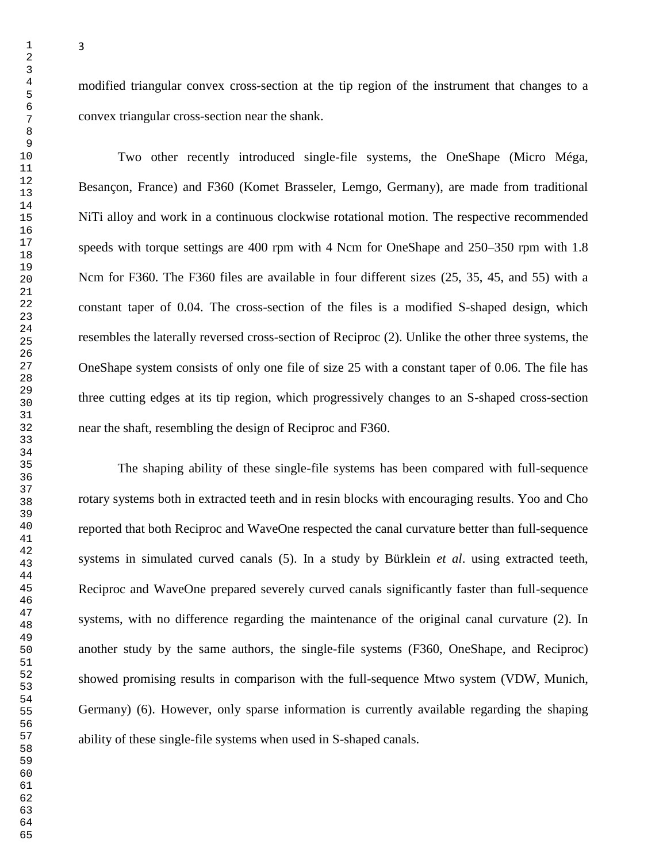modified triangular convex cross-section at the tip region of the instrument that changes to a convex triangular cross-section near the shank.

Two other recently introduced single-file systems, the OneShape (Micro Méga, Besançon, France) and F360 (Komet Brasseler, Lemgo, Germany), are made from traditional NiTi alloy and work in a continuous clockwise rotational motion. The respective recommended speeds with torque settings are 400 rpm with 4 Ncm for OneShape and 250–350 rpm with 1.8 Ncm for F360. The F360 files are available in four different sizes (25, 35, 45, and 55) with a constant taper of 0.04. The cross-section of the files is a modified S-shaped design, which resembles the laterally reversed cross-section of Reciproc [\(2\)](#page-14-1). Unlike the other three systems, the OneShape system consists of only one file of size 25 with a constant taper of 0.06. The file has three cutting edges at its tip region, which progressively changes to an S-shaped cross-section near the shaft, resembling the design of Reciproc and F360.

The shaping ability of these single-file systems has been compared with full-sequence rotary systems both in extracted teeth and in resin blocks with encouraging results. Yoo and Cho reported that both Reciproc and WaveOne respected the canal curvature better than full-sequence systems in simulated curved canals [\(5\)](#page-14-4). In a study by Bürklein *et al*. using extracted teeth, Reciproc and WaveOne prepared severely curved canals significantly faster than full-sequence systems, with no difference regarding the maintenance of the original canal curvature [\(2\)](#page-14-1). In another study by the same authors, the single-file systems (F360, OneShape, and Reciproc) showed promising results in comparison with the full-sequence Mtwo system (VDW, Munich, Germany) [\(6\)](#page-14-5). However, only sparse information is currently available regarding the shaping ability of these single-file systems when used in S-shaped canals.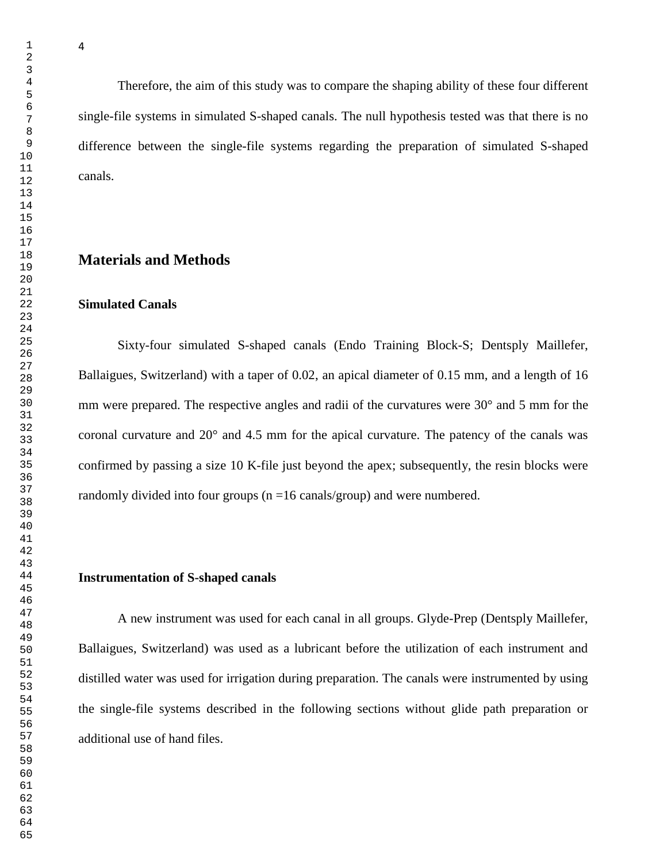Therefore, the aim of this study was to compare the shaping ability of these four different

single-file systems in simulated S-shaped canals. The null hypothesis tested was that there is no difference between the single-file systems regarding the preparation of simulated S-shaped canals.

# **Materials and Methods**

## **Simulated Canals**

Sixty-four simulated S-shaped canals (Endo Training Block-S; Dentsply Maillefer, Ballaigues, Switzerland) with a taper of 0.02, an apical diameter of 0.15 mm, and a length of 16 mm were prepared. The respective angles and radii of the curvatures were 30<sup>°</sup> and 5 mm for the coronal curvature and 20° and 4.5 mm for the apical curvature. The patency of the canals was confirmed by passing a size 10 K-file just beyond the apex; subsequently, the resin blocks were randomly divided into four groups (n =16 canals/group) and were numbered.

## **Instrumentation of S-shaped canals**

A new instrument was used for each canal in all groups. Glyde-Prep (Dentsply Maillefer, Ballaigues, Switzerland) was used as a lubricant before the utilization of each instrument and distilled water was used for irrigation during preparation. The canals were instrumented by using the single-file systems described in the following sections without glide path preparation or additional use of hand files.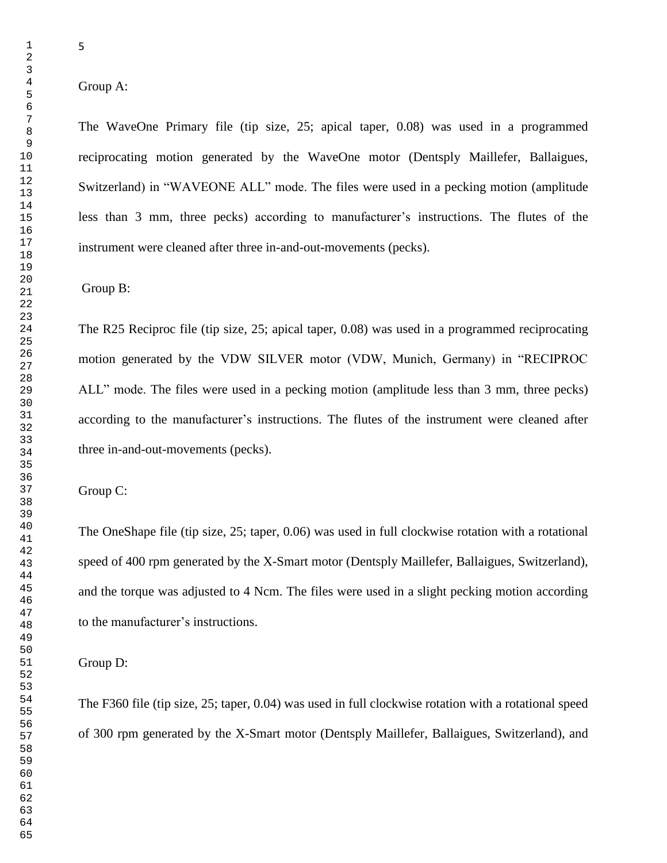## Group A:

The WaveOne Primary file (tip size, 25; apical taper, 0.08) was used in a programmed reciprocating motion generated by the WaveOne motor (Dentsply Maillefer, Ballaigues, Switzerland) in "WAVEONE ALL" mode. The files were used in a pecking motion (amplitude less than 3 mm, three pecks) according to manufacturer's instructions. The flutes of the instrument were cleaned after three in-and-out-movements (pecks).

Group B:

The R25 Reciproc file (tip size, 25; apical taper, 0.08) was used in a programmed reciprocating motion generated by the VDW SILVER motor (VDW, Munich, Germany) in "RECIPROC ALL" mode. The files were used in a pecking motion (amplitude less than 3 mm, three pecks) according to the manufacturer's instructions. The flutes of the instrument were cleaned after three in-and-out-movements (pecks).

Group C:

The OneShape file (tip size, 25; taper, 0.06) was used in full clockwise rotation with a rotational speed of 400 rpm generated by the X-Smart motor (Dentsply Maillefer, Ballaigues, Switzerland), and the torque was adjusted to 4 Ncm. The files were used in a slight pecking motion according to the manufacturer's instructions.

Group D:

The F360 file (tip size, 25; taper, 0.04) was used in full clockwise rotation with a rotational speed of 300 rpm generated by the X-Smart motor (Dentsply Maillefer, Ballaigues, Switzerland), and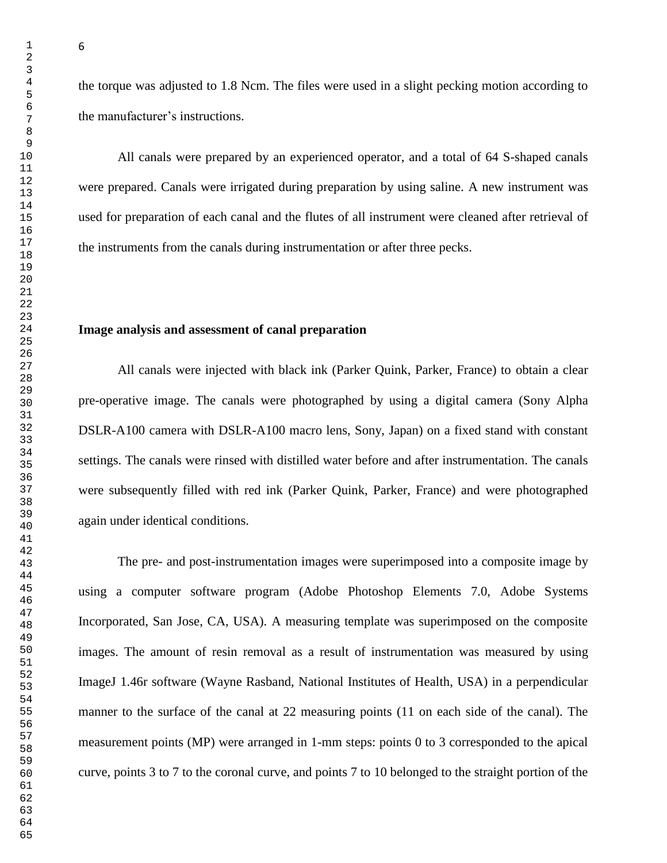the torque was adjusted to 1.8 Ncm. The files were used in a slight pecking motion according to

the manufacturer's instructions.

All canals were prepared by an experienced operator, and a total of 64 S-shaped canals were prepared. Canals were irrigated during preparation by using saline. A new instrument was used for preparation of each canal and the flutes of all instrument were cleaned after retrieval of the instruments from the canals during instrumentation or after three pecks.

## **Image analysis and assessment of canal preparation**

All canals were injected with black ink (Parker Quink, Parker, France) to obtain a clear pre-operative image. The canals were photographed by using a digital camera (Sony Alpha DSLR-A100 camera with DSLR-A100 macro lens, Sony, Japan) on a fixed stand with constant settings. The canals were rinsed with distilled water before and after instrumentation. The canals were subsequently filled with red ink (Parker Quink, Parker, France) and were photographed again under identical conditions.

The pre- and post-instrumentation images were superimposed into a composite image by using a computer software program (Adobe Photoshop Elements 7.0, Adobe Systems Incorporated, San Jose, CA, USA). A measuring template was superimposed on the composite images. The amount of resin removal as a result of instrumentation was measured by using ImageJ 1.46r software (Wayne Rasband, National Institutes of Health, USA) in a perpendicular manner to the surface of the canal at 22 measuring points (11 on each side of the canal). The measurement points (MP) were arranged in 1-mm steps: points 0 to 3 corresponded to the apical curve, points 3 to 7 to the coronal curve, and points 7 to 10 belonged to the straight portion of the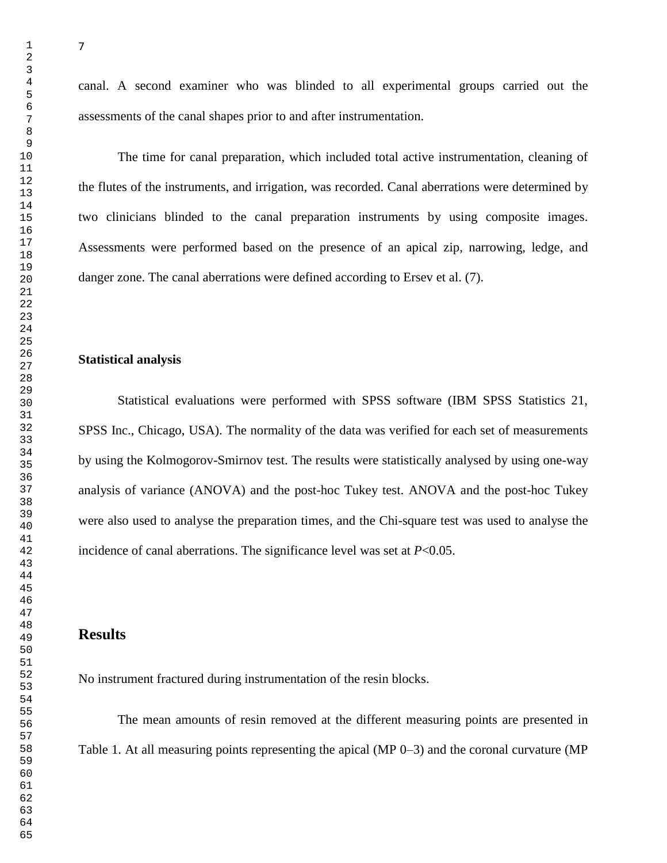canal. A second examiner who was blinded to all experimental groups carried out the assessments of the canal shapes prior to and after instrumentation.

The time for canal preparation, which included total active instrumentation, cleaning of the flutes of the instruments, and irrigation, was recorded. Canal aberrations were determined by two clinicians blinded to the canal preparation instruments by using composite images. Assessments were performed based on the presence of an apical zip, narrowing, ledge, and danger zone. The canal aberrations were defined according to Ersev et al. [\(7\)](#page-14-6).

## **Statistical analysis**

Statistical evaluations were performed with SPSS software (IBM SPSS Statistics 21, SPSS Inc., Chicago, USA). The normality of the data was verified for each set of measurements by using the Kolmogorov-Smirnov test. The results were statistically analysed by using one-way analysis of variance (ANOVA) and the post-hoc Tukey test. ANOVA and the post-hoc Tukey were also used to analyse the preparation times, and the Chi-square test was used to analyse the incidence of canal aberrations. The significance level was set at *P*<0.05.

## **Results**

No instrument fractured during instrumentation of the resin blocks.

The mean amounts of resin removed at the different measuring points are presented in Table 1. At all measuring points representing the apical (MP 0–3) and the coronal curvature (MP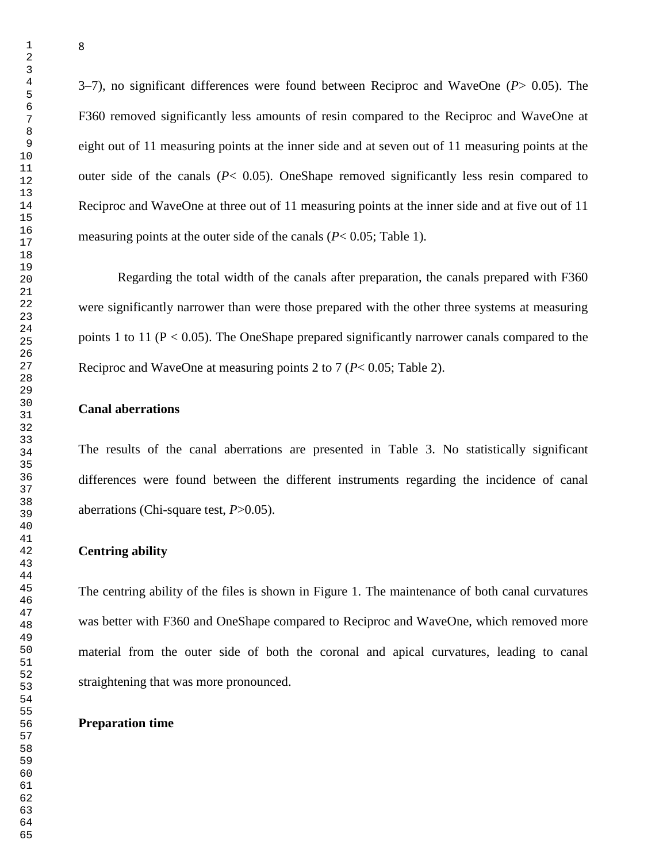3–7), no significant differences were found between Reciproc and WaveOne (*P*> 0.05). The F360 removed significantly less amounts of resin compared to the Reciproc and WaveOne at eight out of 11 measuring points at the inner side and at seven out of 11 measuring points at the outer side of the canals (*P*< 0.05). OneShape removed significantly less resin compared to Reciproc and WaveOne at three out of 11 measuring points at the inner side and at five out of 11 measuring points at the outer side of the canals (*P*< 0.05; Table 1).

Regarding the total width of the canals after preparation, the canals prepared with F360 were significantly narrower than were those prepared with the other three systems at measuring points 1 to 11 ( $P < 0.05$ ). The OneShape prepared significantly narrower canals compared to the Reciproc and WaveOne at measuring points 2 to 7 (*P*< 0.05; Table 2).

## **Canal aberrations**

The results of the canal aberrations are presented in Table 3. No statistically significant differences were found between the different instruments regarding the incidence of canal aberrations (Chi-square test, *P*>0.05).

#### **Centring ability**

The centring ability of the files is shown in Figure 1. The maintenance of both canal curvatures was better with F360 and OneShape compared to Reciproc and WaveOne, which removed more material from the outer side of both the coronal and apical curvatures, leading to canal straightening that was more pronounced.

#### **Preparation time**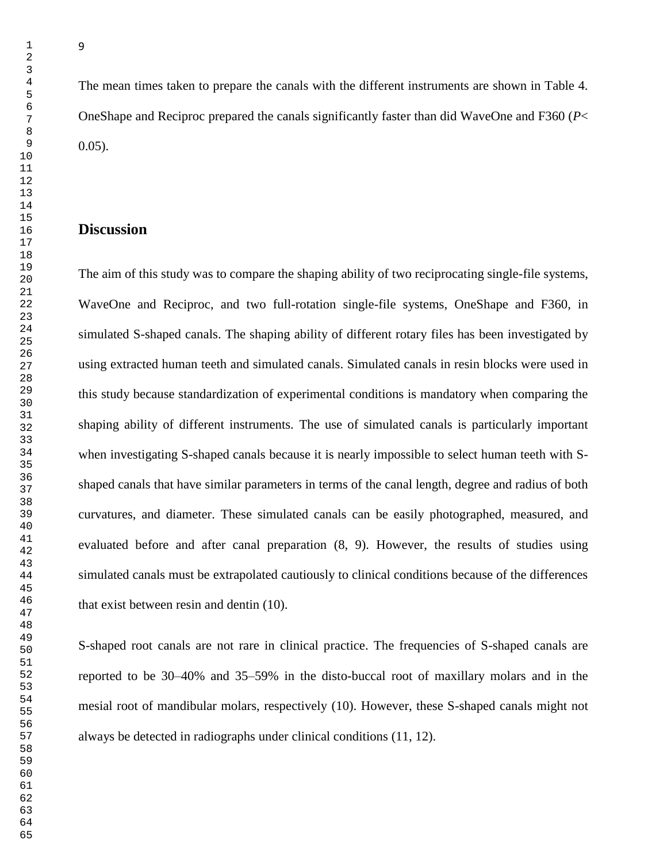The mean times taken to prepare the canals with the different instruments are shown in Table 4. OneShape and Reciproc prepared the canals significantly faster than did WaveOne and F360 (*P*< 0.05).

# **Discussion**

The aim of this study was to compare the shaping ability of two reciprocating single-file systems, WaveOne and Reciproc, and two full-rotation single-file systems, OneShape and F360, in simulated S-shaped canals. The shaping ability of different rotary files has been investigated by using extracted human teeth and simulated canals. Simulated canals in resin blocks were used in this study because standardization of experimental conditions is mandatory when comparing the shaping ability of different instruments. The use of simulated canals is particularly important when investigating S-shaped canals because it is nearly impossible to select human teeth with Sshaped canals that have similar parameters in terms of the canal length, degree and radius of both curvatures, and diameter. These simulated canals can be easily photographed, measured, and evaluated before and after canal preparation [\(8,](#page-14-7) [9\)](#page-14-8). However, the results of studies using simulated canals must be extrapolated cautiously to clinical conditions because of the differences that exist between resin and dentin [\(10\)](#page-15-0).

S-shaped root canals are not rare in clinical practice. The frequencies of S-shaped canals are reported to be 30–40% and 35–59% in the disto-buccal root of maxillary molars and in the mesial root of mandibular molars, respectively [\(10\)](#page-15-0). However, these S-shaped canals might not always be detected in radiographs under clinical conditions [\(11,](#page-15-1) [12\)](#page-15-2).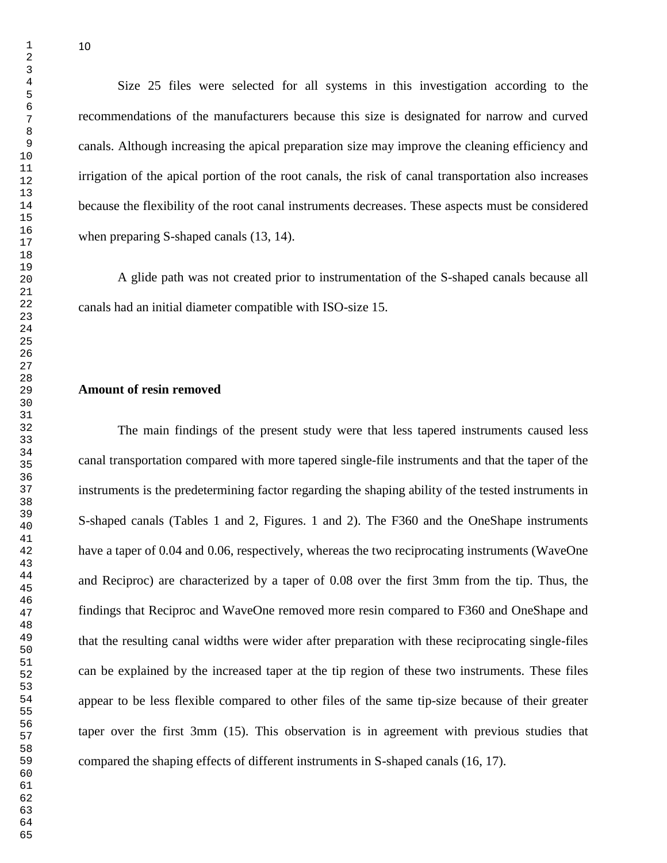Size 25 files were selected for all systems in this investigation according to the recommendations of the manufacturers because this size is designated for narrow and curved canals. Although increasing the apical preparation size may improve the cleaning efficiency and irrigation of the apical portion of the root canals, the risk of canal transportation also increases because the flexibility of the root canal instruments decreases. These aspects must be considered when preparing S-shaped canals [\(13,](#page-15-3) [14\)](#page-15-4).

A glide path was not created prior to instrumentation of the S-shaped canals because all canals had an initial diameter compatible with ISO-size 15.

## **Amount of resin removed**

The main findings of the present study were that less tapered instruments caused less canal transportation compared with more tapered single-file instruments and that the taper of the instruments is the predetermining factor regarding the shaping ability of the tested instruments in S-shaped canals (Tables 1 and 2, Figures. 1 and 2). The F360 and the OneShape instruments have a taper of 0.04 and 0.06, respectively, whereas the two reciprocating instruments (WaveOne and Reciproc) are characterized by a taper of 0.08 over the first 3mm from the tip. Thus, the findings that Reciproc and WaveOne removed more resin compared to F360 and OneShape and that the resulting canal widths were wider after preparation with these reciprocating single-files can be explained by the increased taper at the tip region of these two instruments. These files appear to be less flexible compared to other files of the same tip-size because of their greater taper over the first 3mm [\(15\)](#page-15-5). This observation is in agreement with previous studies that compared the shaping effects of different instruments in S-shaped canals [\(16,](#page-15-6) [17\)](#page-15-7).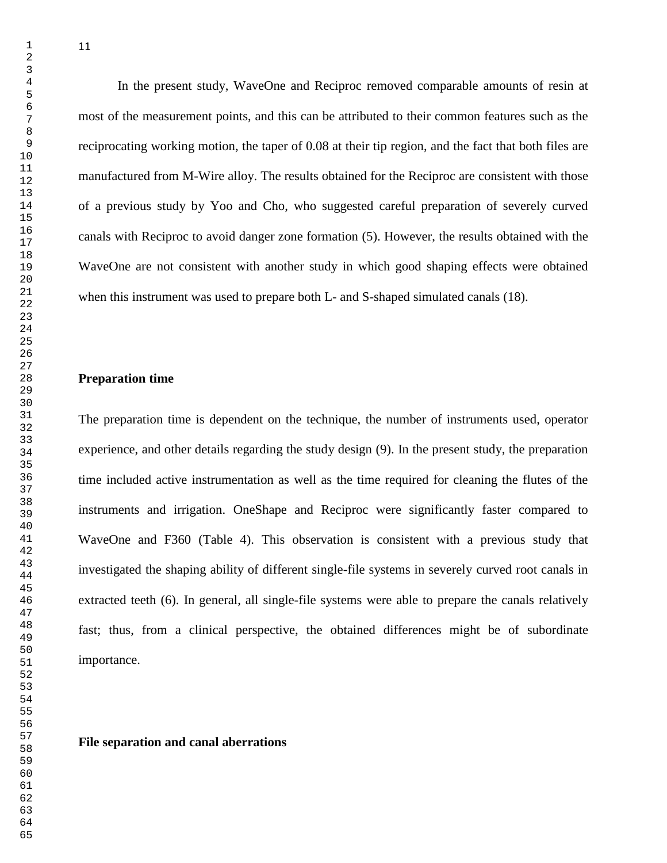In the present study, WaveOne and Reciproc removed comparable amounts of resin at most of the measurement points, and this can be attributed to their common features such as the reciprocating working motion, the taper of 0.08 at their tip region, and the fact that both files are manufactured from M-Wire alloy. The results obtained for the Reciproc are consistent with those of a previous study by Yoo and Cho, who suggested careful preparation of severely curved canals with Reciproc to avoid danger zone formation [\(5\)](#page-14-4). However, the results obtained with the WaveOne are not consistent with another study in which good shaping effects were obtained when this instrument was used to prepare both L- and S-shaped simulated canals [\(18\)](#page-15-8).

### **Preparation time**

The preparation time is dependent on the technique, the number of instruments used, operator experience, and other details regarding the study design [\(9\)](#page-14-8). In the present study, the preparation time included active instrumentation as well as the time required for cleaning the flutes of the instruments and irrigation. OneShape and Reciproc were significantly faster compared to WaveOne and F360 (Table 4). This observation is consistent with a previous study that investigated the shaping ability of different single-file systems in severely curved root canals in extracted teeth [\(6\)](#page-14-5). In general, all single-file systems were able to prepare the canals relatively fast; thus, from a clinical perspective, the obtained differences might be of subordinate importance.

**File separation and canal aberrations**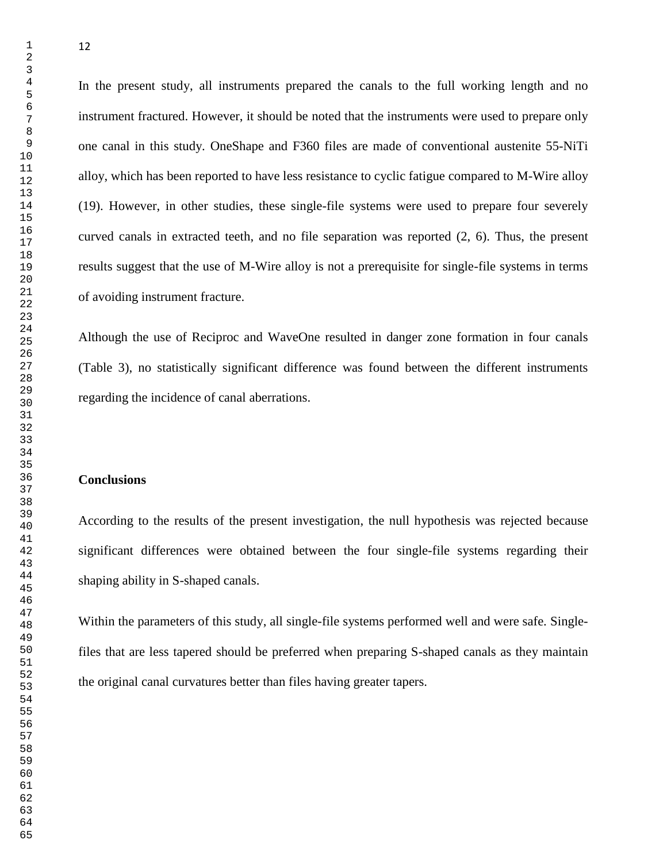In the present study, all instruments prepared the canals to the full working length and no instrument fractured. However, it should be noted that the instruments were used to prepare only one canal in this study. OneShape and F360 files are made of conventional austenite 55-NiTi alloy, which has been reported to have less resistance to cyclic fatigue compared to M-Wire alloy [\(19\)](#page-15-9). However, in other studies, these single-file systems were used to prepare four severely curved canals in extracted teeth, and no file separation was reported [\(2,](#page-14-1) [6\)](#page-14-5). Thus, the present results suggest that the use of M-Wire alloy is not a prerequisite for single-file systems in terms of avoiding instrument fracture.

Although the use of Reciproc and WaveOne resulted in danger zone formation in four canals (Table 3), no statistically significant difference was found between the different instruments regarding the incidence of canal aberrations.

### **Conclusions**

According to the results of the present investigation, the null hypothesis was rejected because significant differences were obtained between the four single-file systems regarding their shaping ability in S-shaped canals.

Within the parameters of this study, all single-file systems performed well and were safe. Singlefiles that are less tapered should be preferred when preparing S-shaped canals as they maintain the original canal curvatures better than files having greater tapers.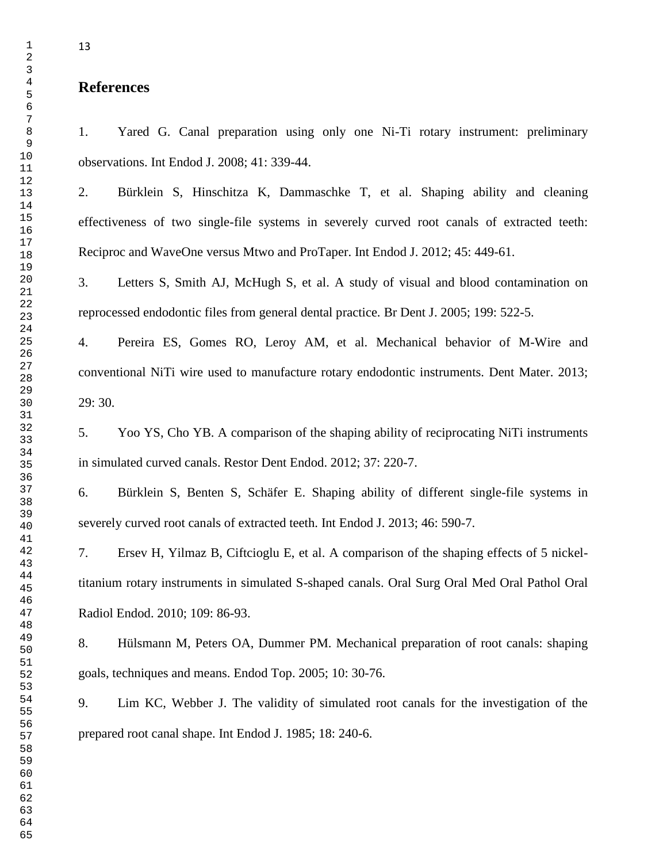# **References**

<span id="page-14-0"></span>1. Yared G. Canal preparation using only one Ni-Ti rotary instrument: preliminary observations. Int Endod J. 2008; 41: 339-44.

<span id="page-14-1"></span>2. Bürklein S, Hinschitza K, Dammaschke T, et al. Shaping ability and cleaning effectiveness of two single-file systems in severely curved root canals of extracted teeth: Reciproc and WaveOne versus Mtwo and ProTaper. Int Endod J. 2012; 45: 449-61.

<span id="page-14-2"></span>3. Letters S, Smith AJ, McHugh S, et al. A study of visual and blood contamination on reprocessed endodontic files from general dental practice. Br Dent J. 2005; 199: 522-5.

<span id="page-14-3"></span>4. Pereira ES, Gomes RO, Leroy AM, et al. Mechanical behavior of M-Wire and conventional NiTi wire used to manufacture rotary endodontic instruments. Dent Mater. 2013; 29: 30.

<span id="page-14-4"></span>5. Yoo YS, Cho YB. A comparison of the shaping ability of reciprocating NiTi instruments in simulated curved canals. Restor Dent Endod. 2012; 37: 220-7.

<span id="page-14-5"></span>6. Bürklein S, Benten S, Schäfer E. Shaping ability of different single-file systems in severely curved root canals of extracted teeth. Int Endod J. 2013; 46: 590-7.

<span id="page-14-6"></span>7. Ersev H, Yilmaz B, Ciftcioglu E, et al. A comparison of the shaping effects of 5 nickeltitanium rotary instruments in simulated S-shaped canals. Oral Surg Oral Med Oral Pathol Oral Radiol Endod. 2010; 109: 86-93.

<span id="page-14-7"></span>8. Hülsmann M, Peters OA, Dummer PM. Mechanical preparation of root canals: shaping goals, techniques and means. Endod Top. 2005; 10: 30-76.

<span id="page-14-8"></span>9. Lim KC, Webber J. The validity of simulated root canals for the investigation of the prepared root canal shape. Int Endod J. 1985; 18: 240-6.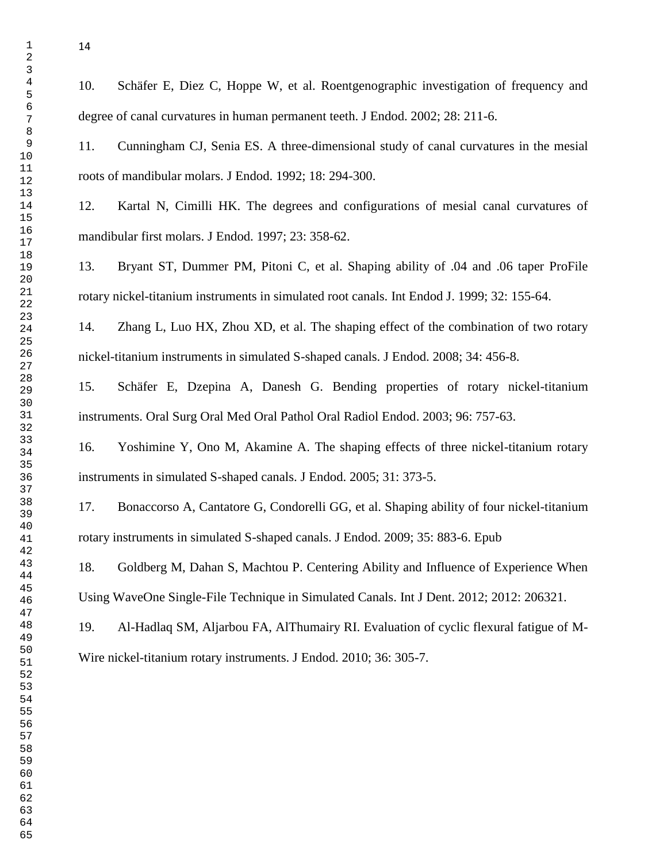<span id="page-15-0"></span>10. Schäfer E, Diez C, Hoppe W, et al. Roentgenographic investigation of frequency and degree of canal curvatures in human permanent teeth. J Endod. 2002; 28: 211-6.

<span id="page-15-1"></span>11. Cunningham CJ, Senia ES. A three-dimensional study of canal curvatures in the mesial roots of mandibular molars. J Endod. 1992; 18: 294-300.

<span id="page-15-2"></span>12. Kartal N, Cimilli HK. The degrees and configurations of mesial canal curvatures of mandibular first molars. J Endod. 1997; 23: 358-62.

<span id="page-15-3"></span>13. Bryant ST, Dummer PM, Pitoni C, et al. Shaping ability of .04 and .06 taper ProFile rotary nickel-titanium instruments in simulated root canals. Int Endod J. 1999; 32: 155-64.

<span id="page-15-4"></span>14. Zhang L, Luo HX, Zhou XD, et al. The shaping effect of the combination of two rotary nickel-titanium instruments in simulated S-shaped canals. J Endod. 2008; 34: 456-8.

<span id="page-15-5"></span>15. Schäfer E, Dzepina A, Danesh G. Bending properties of rotary nickel-titanium instruments. Oral Surg Oral Med Oral Pathol Oral Radiol Endod. 2003; 96: 757-63.

<span id="page-15-6"></span>16. Yoshimine Y, Ono M, Akamine A. The shaping effects of three nickel-titanium rotary instruments in simulated S-shaped canals. J Endod. 2005; 31: 373-5.

<span id="page-15-7"></span>17. Bonaccorso A, Cantatore G, Condorelli GG, et al. Shaping ability of four nickel-titanium rotary instruments in simulated S-shaped canals. J Endod. 2009; 35: 883-6. Epub

<span id="page-15-8"></span>18. Goldberg M, Dahan S, Machtou P. Centering Ability and Influence of Experience When Using WaveOne Single-File Technique in Simulated Canals. Int J Dent. 2012; 2012: 206321.

<span id="page-15-9"></span>19. Al-Hadlaq SM, Aljarbou FA, AlThumairy RI. Evaluation of cyclic flexural fatigue of M-Wire nickel-titanium rotary instruments. J Endod. 2010; 36: 305-7.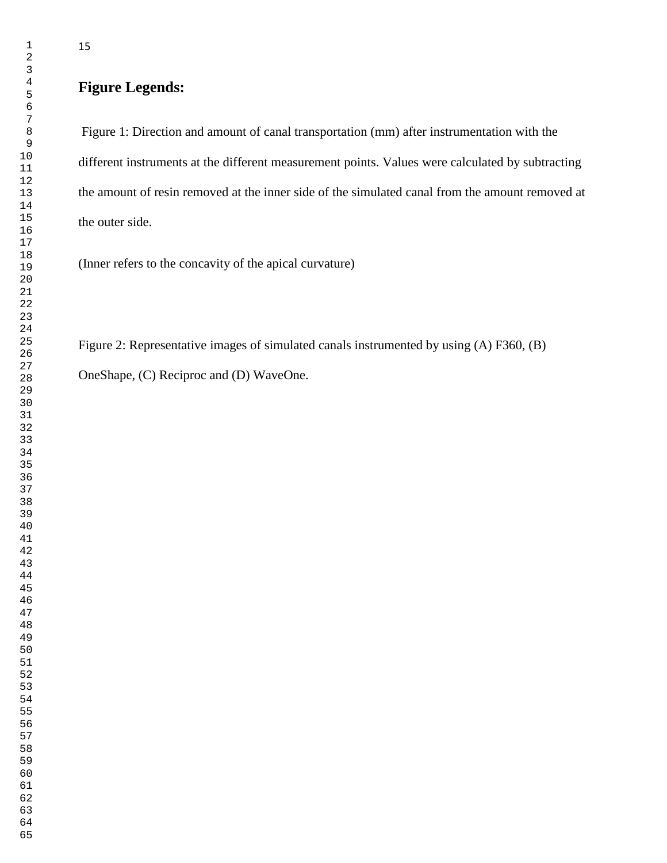# **Figure Legends:**

Figure 1: Direction and amount of canal transportation (mm) after instrumentation with the different instruments at the different measurement points. Values were calculated by subtracting the amount of resin removed at the inner side of the simulated canal from the amount removed at the outer side.

(Inner refers to the concavity of the apical curvature)

Figure 2: Representative images of simulated canals instrumented by using (A) F360, (B) OneShape, (C) Reciproc and (D) WaveOne.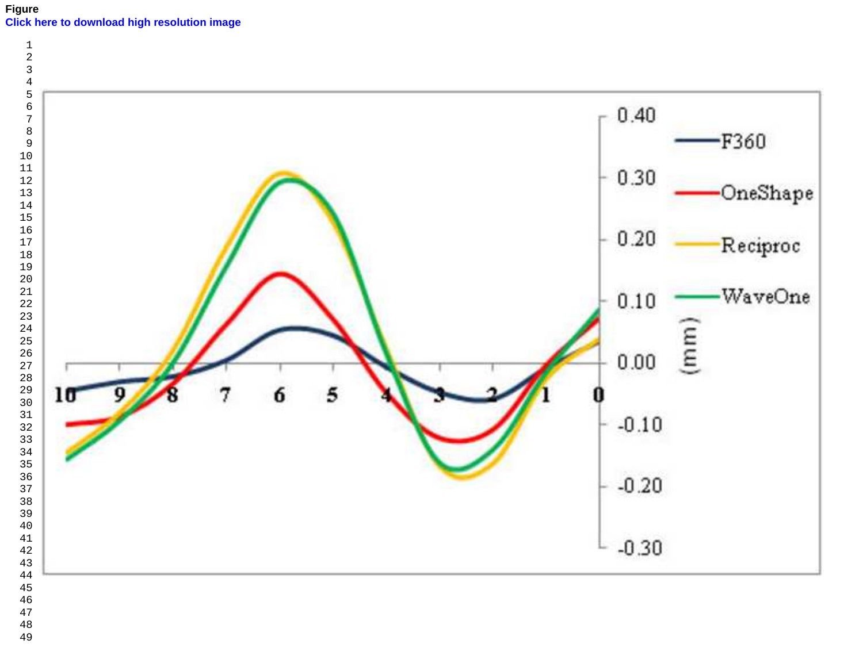

- 
-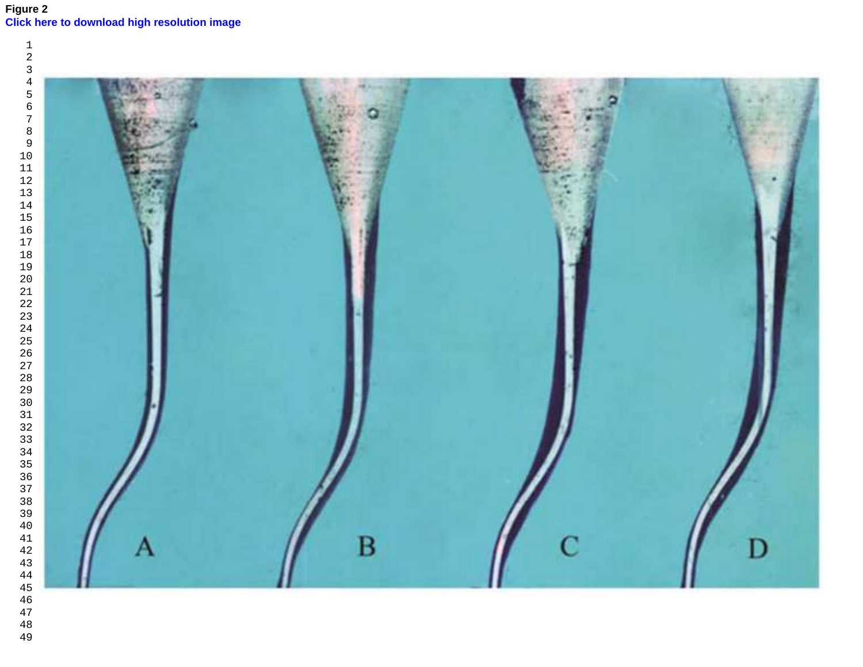# **Figure 2 [Click here to download high resolution image](http://ees.elsevier.com/joe/download.aspx?id=208497&guid=67e59160-2ab3-40ea-9a4e-7153bc7f21ac&scheme=1)**

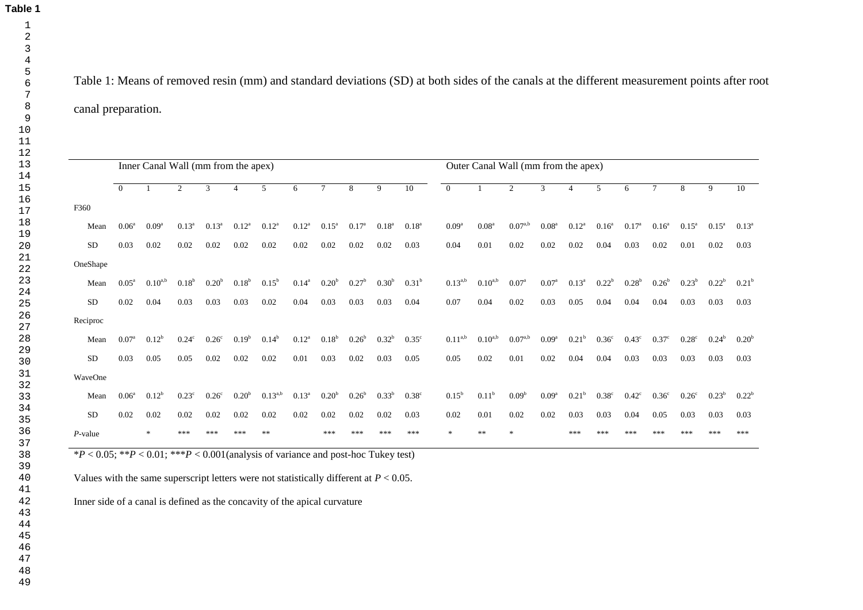**Table 1**

Table 1: Means of removed resin (mm) and standard deviations (SD) at both sides of the canals at the different measurement points after root canal preparation.

|                                                                                           |                   | Inner Canal Wall (mm from the apex) |                   |                   |                   |                |                |                   |                   |              |                   | Outer Canal Wall (mm from the apex) |                   |                   |                   |                   |                |                   |                   |                   |                   |                   |
|-------------------------------------------------------------------------------------------|-------------------|-------------------------------------|-------------------|-------------------|-------------------|----------------|----------------|-------------------|-------------------|--------------|-------------------|-------------------------------------|-------------------|-------------------|-------------------|-------------------|----------------|-------------------|-------------------|-------------------|-------------------|-------------------|
|                                                                                           | $\Omega$          | $\mathbf{1}$                        | $\overline{2}$    | 3                 | $\overline{4}$    | 5 <sup>5</sup> | 6              | $\tau$            | 8                 | $\mathbf{Q}$ | 10                | $\theta$                            |                   | 2                 | 3                 | $\overline{4}$    | 5              | 6                 | $\tau$            | 8                 | $\mathbf{Q}$      | 10                |
| F360                                                                                      |                   |                                     |                   |                   |                   |                |                |                   |                   |              |                   |                                     |                   |                   |                   |                   |                |                   |                   |                   |                   |                   |
| Mean                                                                                      | 0.06 <sup>a</sup> | $0.09^{\rm a}$                      | $0.13^{a}$        | $0.13^{a}$        | $0.12^{a}$        | $0.12^{a}$     | $0.12^{a}$     | $0.15^{\circ}$    | 0.17 <sup>a</sup> | $0.18^{a}$   | $0.18^{a}$        | 0.09 <sup>a</sup>                   | 0.08 <sup>a</sup> | $0.07^{a,b}$      | 0.08 <sup>a</sup> | $0.12^{a}$        | $0.16^{a}$     | 0.17 <sup>a</sup> | $0.16^{\circ}$    | $0.15^{\rm a}$    | $0.15^{\rm a}$    | $0.13^{a}$        |
| <b>SD</b>                                                                                 | 0.03              | 0.02                                | 0.02              | 0.02              | 0.02              | 0.02           | 0.02           | 0.02              | 0.02              | 0.02         | 0.03              | 0.04                                | 0.01              | 0.02              | 0.02              | 0.02              | 0.04           | 0.03              | 0.02              | 0.01              | 0.02              | 0.03              |
| OneShape                                                                                  |                   |                                     |                   |                   |                   |                |                |                   |                   |              |                   |                                     |                   |                   |                   |                   |                |                   |                   |                   |                   |                   |
| Mean                                                                                      | 0.05 <sup>a</sup> | $0.10^{a,b}$                        | 0.18 <sup>b</sup> | 0.20 <sup>b</sup> | 0.18 <sup>b</sup> | $0.15^{b}$     | $0.14^{a}$     | 0.20 <sup>b</sup> | 0.27 <sup>b</sup> | $0.30^{b}$   | $0.31^{b}$        | $0.13^{a,b}$                        | $0.10^{a,b}$      | 0.07 <sup>a</sup> | $0.07^{\rm a}$    | $0.13^a$          | $0.22^{b}$     | $0.28^{b}$        | 0.26 <sup>b</sup> | $0.23^{b}$        | $0.22^{b}$        | 0.21 <sup>b</sup> |
| <b>SD</b>                                                                                 | 0.02              | 0.04                                | 0.03              | 0.03              | 0.03              | $0.02\,$       | 0.04           | 0.03              | 0.03              | 0.03         | 0.04              | 0.07                                | 0.04              | 0.02              | 0.03              | 0.05              | 0.04           | 0.04              | 0.04              | 0.03              | 0.03              | 0.03              |
| Reciproc                                                                                  |                   |                                     |                   |                   |                   |                |                |                   |                   |              |                   |                                     |                   |                   |                   |                   |                |                   |                   |                   |                   |                   |
| Mean                                                                                      | $0.07^{a}$        | $0.12^{b}$                          | $0.24^{\circ}$    | 0.26 <sup>c</sup> | $0.19^{b}$        | $0.14^{b}$     | $0.12^{\rm a}$ | $0.18^b$          | 0.26 <sup>b</sup> | $0.32^{b}$   | $0.35^{\circ}$    | $0.11^{a,b}$                        | $0.10^{a,b}$      | $0.07^{a,b}$      | 0.09 <sup>a</sup> | 0.21 <sup>b</sup> | $0.36^{\circ}$ | $0.43^{\circ}$    | 0.37 <sup>c</sup> | $0.28^{\circ}$    | $0.24^{b}$        | 0.20 <sup>b</sup> |
| <b>SD</b>                                                                                 | 0.03              | 0.05                                | 0.05              | 0.02              | $0.02\,$          | 0.02           | 0.01           | 0.03              | 0.02              | 0.03         | 0.05              | 0.05                                | 0.02              | 0.01              | 0.02              | 0.04              | 0.04           | 0.03              | 0.03              | 0.03              | 0.03              | 0.03              |
| WaveOne                                                                                   |                   |                                     |                   |                   |                   |                |                |                   |                   |              |                   |                                     |                   |                   |                   |                   |                |                   |                   |                   |                   |                   |
| Mean                                                                                      | $0.06^{\rm a}$    | $0.12^{b}$                          | $0.23^{\circ}$    | 0.26 <sup>c</sup> | 0.20 <sup>b</sup> | $0.13^{a,b}$   | $0.13^{a}$     | 0.20 <sup>b</sup> | 0.26 <sup>b</sup> | $0.33^{b}$   | 0.38 <sup>c</sup> | $0.15^{b}$                          | 0.11 <sup>b</sup> | 0.09 <sup>b</sup> | $0.09^{\rm a}$    | $0.21^{b}$        | $0.38^{\circ}$ | $0.42^{\circ}$    | 0.36 <sup>c</sup> | 0.26 <sup>c</sup> | 0.23 <sup>b</sup> | $0.22^{\rm b}$    |
| <b>SD</b>                                                                                 | 0.02              | 0.02                                | 0.02              | 0.02              | 0.02              | $0.02\,$       | 0.02           | 0.02              | 0.02              | 0.02         | 0.03              | 0.02                                | $0.01\,$          | 0.02              | 0.02              | 0.03              | 0.03           | 0.04              | 0.05              | 0.03              | 0.03              | 0.03              |
| $P$ -value                                                                                |                   | $\ast$                              | ***               | ***               | ***               | **             |                | ***               |                   |              | ***               | ×.                                  | **                |                   |                   | ***               | ***            |                   |                   |                   |                   | ***               |
| $*P < 0.05$ ; $*P < 0.01$ ; $**P < 0.001$ (analysis of variance and post-hoc Tukey test)  |                   |                                     |                   |                   |                   |                |                |                   |                   |              |                   |                                     |                   |                   |                   |                   |                |                   |                   |                   |                   |                   |
| Values with the same superscript letters were not statistically different at $P < 0.05$ . |                   |                                     |                   |                   |                   |                |                |                   |                   |              |                   |                                     |                   |                   |                   |                   |                |                   |                   |                   |                   |                   |
| Inner side of a canal is defined as the concavity of the apical curvature                 |                   |                                     |                   |                   |                   |                |                |                   |                   |              |                   |                                     |                   |                   |                   |                   |                |                   |                   |                   |                   |                   |
|                                                                                           |                   |                                     |                   |                   |                   |                |                |                   |                   |              |                   |                                     |                   |                   |                   |                   |                |                   |                   |                   |                   |                   |
|                                                                                           |                   |                                     |                   |                   |                   |                |                |                   |                   |              |                   |                                     |                   |                   |                   |                   |                |                   |                   |                   |                   |                   |
|                                                                                           |                   |                                     |                   |                   |                   |                |                |                   |                   |              |                   |                                     |                   |                   |                   |                   |                |                   |                   |                   |                   |                   |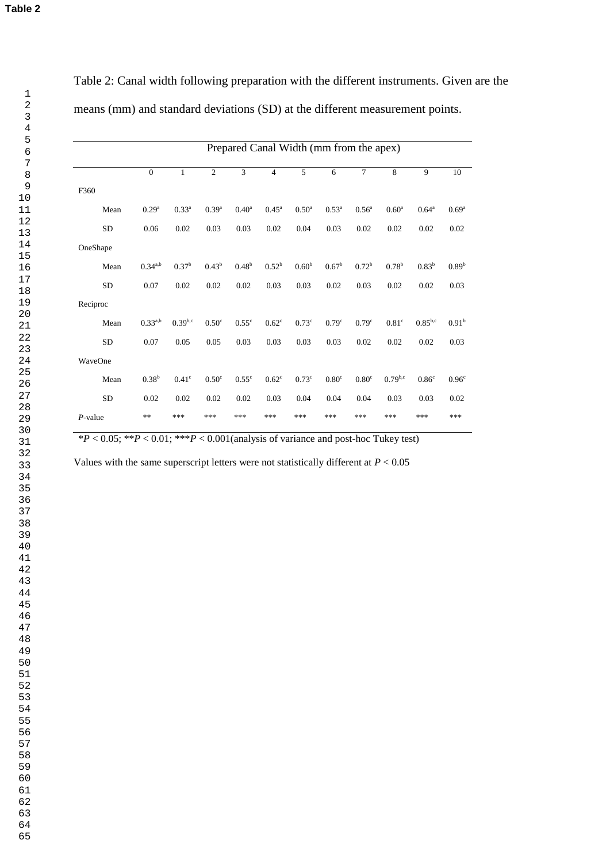|            | Prepared Canal Width (mm from the apex) |                   |                   |                   |                   |                     |                   |                   |                   |                   |                   |
|------------|-----------------------------------------|-------------------|-------------------|-------------------|-------------------|---------------------|-------------------|-------------------|-------------------|-------------------|-------------------|
|            | $\mathbf{0}$                            | 1                 | $\overline{2}$    | 3                 | 4                 | 5                   | 6                 | $\overline{7}$    | 8                 | 9                 | 10                |
| F360       |                                         |                   |                   |                   |                   |                     |                   |                   |                   |                   |                   |
| Mean       | 0.29 <sup>a</sup>                       | $0.33^{a}$        | $0.39^{a}$        | 0.40 <sup>a</sup> | $0.45^{\text{a}}$ | $0.50^{\mathrm{a}}$ | $0.53^{a}$        | 0.56 <sup>a</sup> | 0.60 <sup>a</sup> | $0.64^{\circ}$    | 0.69 <sup>a</sup> |
| <b>SD</b>  | 0.06                                    | 0.02              | 0.03              | 0.03              | 0.02              | 0.04                | 0.03              | 0.02              | 0.02              | 0.02              | 0.02              |
| OneShape   |                                         |                   |                   |                   |                   |                     |                   |                   |                   |                   |                   |
| Mean       | $0.34^{a,b}$                            | $0.37^{b}$        | $0.43^b$          | $0.48^{b}$        | $0.52^{b}$        | 0.60 <sup>b</sup>   | $0.67^{\rm b}$    | $0.72^{\rm b}$    | $0.78^{b}$        | $0.83^{b}$        | 0.89 <sup>b</sup> |
| <b>SD</b>  | 0.07                                    | 0.02              | 0.02              | 0.02              | 0.03              | 0.03                | 0.02              | 0.03              | 0.02              | 0.02              | 0.03              |
| Reciproc   |                                         |                   |                   |                   |                   |                     |                   |                   |                   |                   |                   |
| Mean       | $0.33^{a,b}$                            | $0.39^{b,c}$      | 0.50 <sup>c</sup> | $0.55^{\circ}$    | $0.62^{\circ}$    | $0.73^{\circ}$      | 0.79 <sup>c</sup> | 0.79 <sup>c</sup> | $0.81^\circ$      | $0.85^{b,c}$      | 0.91 <sup>b</sup> |
| <b>SD</b>  | 0.07                                    | 0.05              | 0.05              | 0.03              | 0.03              | 0.03                | 0.03              | 0.02              | 0.02              | 0.02              | 0.03              |
| WaveOne    |                                         |                   |                   |                   |                   |                     |                   |                   |                   |                   |                   |
| Mean       | $0.38^{b}$                              | 0.41 <sup>c</sup> | 0.50 <sup>c</sup> | $0.55^{\circ}$    | $0.62^{\circ}$    | $0.73^{\circ}$      | 0.80 <sup>c</sup> | 0.80 <sup>c</sup> | $0.79^{b,c}$      | 0.86 <sup>c</sup> | 0.96 <sup>c</sup> |
| <b>SD</b>  | 0.02                                    | 0.02              | 0.02              | 0.02              | 0.03              | 0.04                | 0.04              | 0.04              | 0.03              | 0.03              | 0.02              |
| $P$ -value | **                                      | ***               | ***               | ***               | ***               | ***                 | ***               | ***               | ***               | ***               | ***               |

Table 2: Canal width following preparation with the different instruments. Given are the means (mm) and standard deviations (SD) at the different measurement points.

 $*P < 0.05$ ;  $*P < 0.01$ ;  $**P < 0.001$  (analysis of variance and post-hoc Tukey test)

Values with the same superscript letters were not statistically different at *P* < 0.05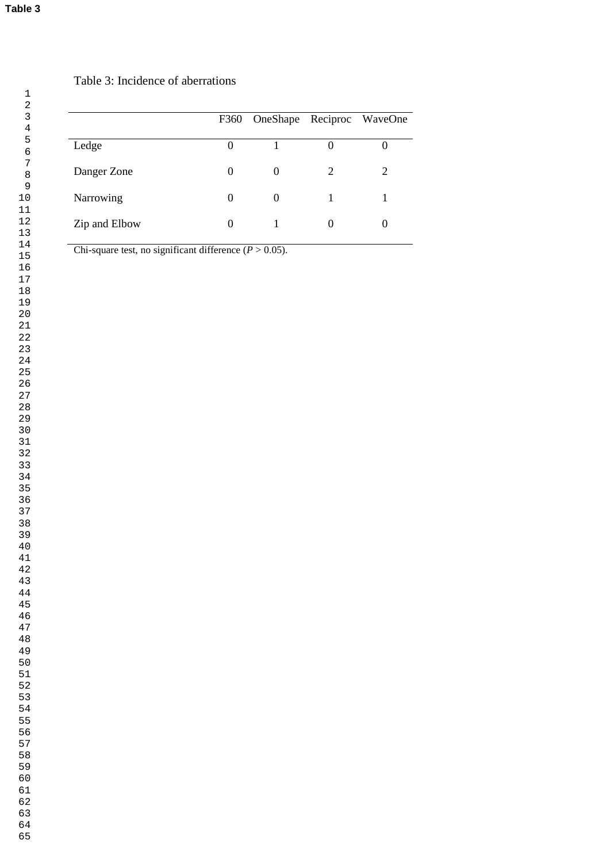# Table 3: Incidence of aberrations

|               |          | F360 OneShape Reciproc WaveOne |                   |   |
|---------------|----------|--------------------------------|-------------------|---|
| Ledge         |          |                                | $\mathbf{\Omega}$ |   |
| Danger Zone   | 0        | $\Omega$                       | 2                 | 2 |
| Narrowing     | $\theta$ | $\Omega$                       |                   |   |
| Zip and Elbow |          |                                | $\theta$          |   |

Chi-square test, no significant difference  $(P > 0.05)$ .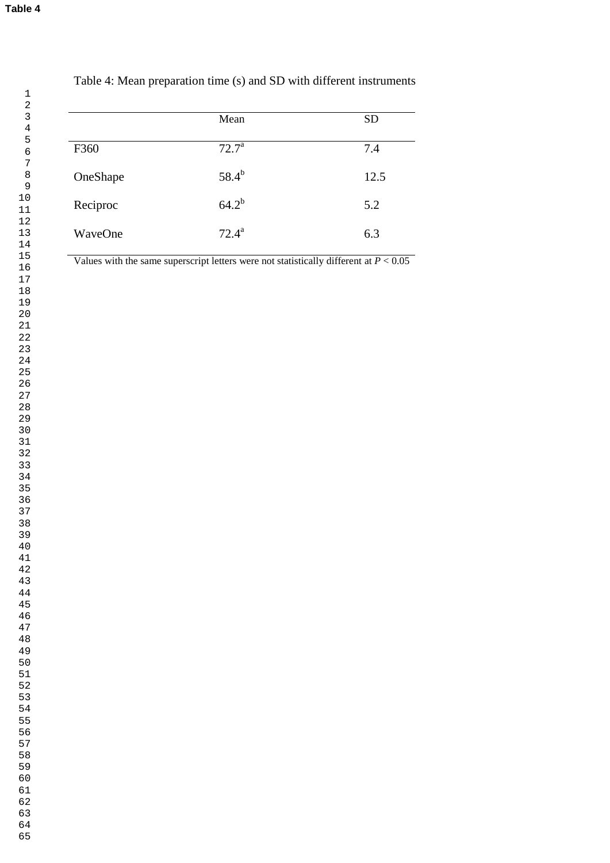|          | Mean           | <b>SD</b> |
|----------|----------------|-----------|
|          |                |           |
| F360     | $72.7^{\rm a}$ | 7.4       |
| OneShape | $58.4^{b}$     | 12.5      |
| Reciproc | $64.2^{b}$     | 5.2       |
| WaveOne  | $72.4^{\rm a}$ | 6.3       |

# Table 4: Mean preparation time (s) and SD with different instruments

Values with the same superscript letters were not statistically different at  $P < 0.05$